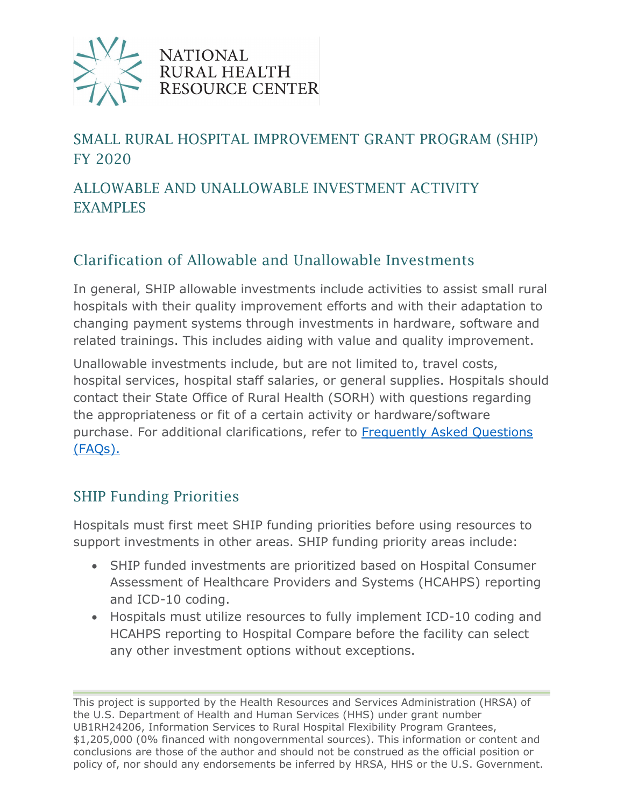

**NATIONAL** RURAL HEALTH RESOURCE CENTER

# SMALL RURAL HOSPITAL IMPROVEMENT GRANT PROGRAM (SHIP) FY 2020

### ALLOWABLE AND UNALLOWABLE INVESTMENT ACTIVITY EXAMPLES

### Clarification of Allowable and Unallowable Investments

In general, SHIP allowable investments include activities to assist small rural hospitals with their quality improvement efforts and with their adaptation to changing payment systems through investments in hardware, software and related trainings. This includes aiding with value and quality improvement.

Unallowable investments include, but are not limited to, travel costs, hospital services, hospital staff salaries, or general supplies. Hospitals should contact their State Office of Rural Health (SORH) with questions regarding the appropriateness or fit of a certain activity or hardware/software purchase. For additional clarifications, refer to [Frequently Asked Questions](https://www.ruralcenter.org/ship/ta/grant-guidance)  [\(FAQs\).](https://www.ruralcenter.org/ship/ta/grant-guidance) 

### SHIP Funding Priorities

Hospitals must first meet SHIP funding priorities before using resources to support investments in other areas. SHIP funding priority areas include:

- SHIP funded investments are prioritized based on Hospital Consumer Assessment of Healthcare Providers and Systems (HCAHPS) reporting and ICD-10 coding.
- Hospitals must utilize resources to fully implement ICD-10 coding and HCAHPS reporting to Hospital Compare before the facility can select any other investment options without exceptions.

This project is supported by the Health Resources and Services Administration (HRSA) of the U.S. Department of Health and Human Services (HHS) under grant number UB1RH24206, Information Services to Rural Hospital Flexibility Program Grantees, \$1,205,000 (0% financed with nongovernmental sources). This information or content and conclusions are those of the author and should not be construed as the official position or policy of, nor should any endorsements be inferred by HRSA, HHS or the U.S. Government.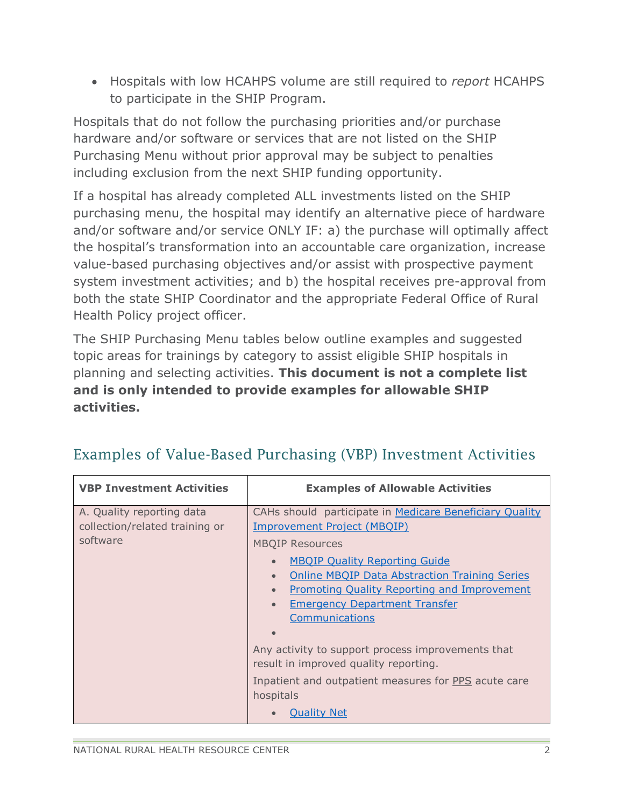• Hospitals with low HCAHPS volume are still required to *report* HCAHPS to participate in the SHIP Program.

Hospitals that do not follow the purchasing priorities and/or purchase hardware and/or software or services that are not listed on the SHIP Purchasing Menu without prior approval may be subject to penalties including exclusion from the next SHIP funding opportunity.

If a hospital has already completed ALL investments listed on the SHIP purchasing menu, the hospital may identify an alternative piece of hardware and/or software and/or service ONLY IF: a) the purchase will optimally affect the hospital's transformation into an accountable care organization, increase value-based purchasing objectives and/or assist with prospective payment system investment activities; and b) the hospital receives pre-approval from both the state SHIP Coordinator and the appropriate Federal Office of Rural Health Policy project officer.

The SHIP Purchasing Menu tables below outline examples and suggested topic areas for trainings by category to assist eligible SHIP hospitals in planning and selecting activities. **This document is not a complete list and is only intended to provide examples for allowable SHIP activities.**

| <b>VBP Investment Activities</b>                                        | <b>Examples of Allowable Activities</b>                                                                                                                                                                                                                                                                                                                                                                                                                                                                                                                                              |
|-------------------------------------------------------------------------|--------------------------------------------------------------------------------------------------------------------------------------------------------------------------------------------------------------------------------------------------------------------------------------------------------------------------------------------------------------------------------------------------------------------------------------------------------------------------------------------------------------------------------------------------------------------------------------|
| A. Quality reporting data<br>collection/related training or<br>software | CAHs should participate in Medicare Beneficiary Quality<br><b>Improvement Project (MBQIP)</b><br><b>MBQIP Resources</b><br><b>MBQIP Quality Reporting Guide</b><br>$\bullet$<br><b>Online MBQIP Data Abstraction Training Series</b><br>$\bullet$<br><b>Promoting Quality Reporting and Improvement</b><br>$\bullet$<br><b>Emergency Department Transfer</b><br>$\bullet$<br>Communications<br>Any activity to support process improvements that<br>result in improved quality reporting.<br>Inpatient and outpatient measures for PPS acute care<br>hospitals<br><b>Quality Net</b> |

### Examples of Value-Based Purchasing (VBP) Investment Activities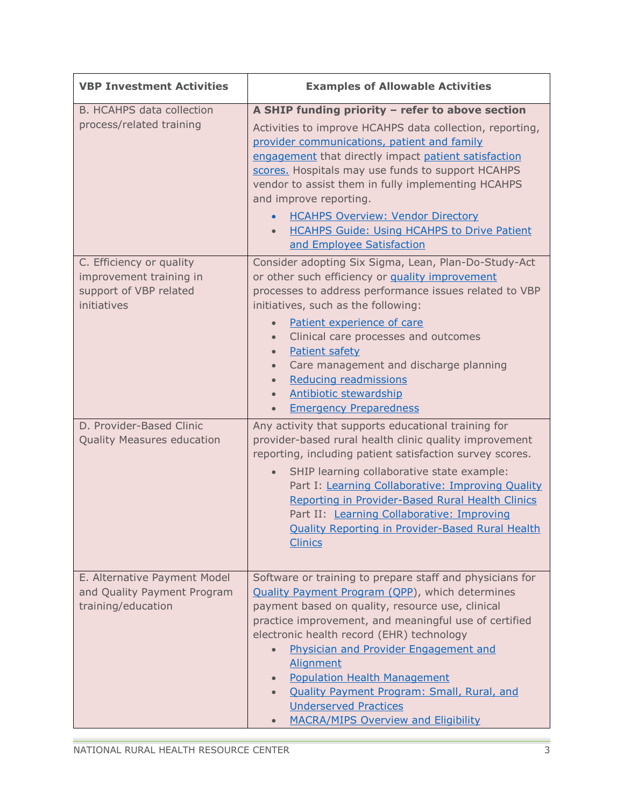| <b>VBP Investment Activities</b>                                                             | <b>Examples of Allowable Activities</b>                                                                                                                                                                                                                                                                                                                                                                                                                                                                                          |
|----------------------------------------------------------------------------------------------|----------------------------------------------------------------------------------------------------------------------------------------------------------------------------------------------------------------------------------------------------------------------------------------------------------------------------------------------------------------------------------------------------------------------------------------------------------------------------------------------------------------------------------|
| <b>B. HCAHPS data collection</b><br>process/related training                                 | A SHIP funding priority - refer to above section<br>Activities to improve HCAHPS data collection, reporting,<br>provider communications, patient and family<br>engagement that directly impact patient satisfaction<br>scores. Hospitals may use funds to support HCAHPS<br>vendor to assist them in fully implementing HCAHPS<br>and improve reporting.<br><b>HCAHPS Overview: Vendor Directory</b><br><b>HCAHPS Guide: Using HCAHPS to Drive Patient</b><br>$\bullet$<br>and Employee Satisfaction                             |
| C. Efficiency or quality<br>improvement training in<br>support of VBP related<br>initiatives | Consider adopting Six Sigma, Lean, Plan-Do-Study-Act<br>or other such efficiency or quality improvement<br>processes to address performance issues related to VBP<br>initiatives, such as the following:<br>Patient experience of care<br>$\bullet$<br>Clinical care processes and outcomes<br>$\bullet$<br>Patient safety<br>$\bullet$<br>Care management and discharge planning<br>$\bullet$<br>Reducing readmissions<br>$\bullet$<br><b>Antibiotic stewardship</b><br>$\bullet$<br><b>Emergency Preparedness</b><br>$\bullet$ |
| D. Provider-Based Clinic<br>Quality Measures education                                       | Any activity that supports educational training for<br>provider-based rural health clinic quality improvement<br>reporting, including patient satisfaction survey scores.<br>SHIP learning collaborative state example:<br>$\bullet$<br>Part I: Learning Collaborative: Improving Quality<br>Reporting in Provider-Based Rural Health Clinics<br>Part II: Learning Collaborative: Improving<br>Quality Reporting in Provider-Based Rural Health<br><b>Clinics</b>                                                                |
| E. Alternative Payment Model<br>and Quality Payment Program<br>training/education            | Software or training to prepare staff and physicians for<br><b>Quality Payment Program (QPP), which determines</b><br>payment based on quality, resource use, clinical<br>practice improvement, and meaningful use of certified<br>electronic health record (EHR) technology<br>Physician and Provider Engagement and<br>Alignment<br><b>Population Health Management</b><br>$\bullet$<br><b>Quality Payment Program: Small, Rural, and</b><br><b>Underserved Practices</b><br><b>MACRA/MIPS Overview and Eligibility</b>        |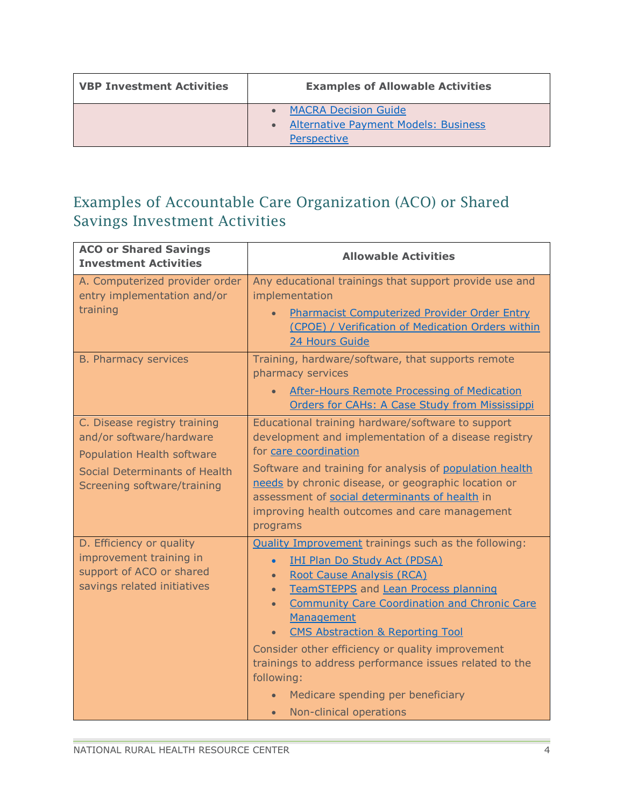| <b>VBP Investment Activities</b> | <b>Examples of Allowable Activities</b>                                                   |
|----------------------------------|-------------------------------------------------------------------------------------------|
|                                  | <b>MACRA Decision Guide</b><br><b>Alternative Payment Models: Business</b><br>Perspective |

# Examples of Accountable Care Organization (ACO) or Shared Savings Investment Activities

| <b>ACO or Shared Savings</b><br><b>Investment Activities</b>                                                                                           | <b>Allowable Activities</b>                                                                                                                                                                                                                                                                                                                                                                                                                                                                                                                                                               |
|--------------------------------------------------------------------------------------------------------------------------------------------------------|-------------------------------------------------------------------------------------------------------------------------------------------------------------------------------------------------------------------------------------------------------------------------------------------------------------------------------------------------------------------------------------------------------------------------------------------------------------------------------------------------------------------------------------------------------------------------------------------|
| A. Computerized provider order<br>entry implementation and/or<br>training                                                                              | Any educational trainings that support provide use and<br>implementation<br>Pharmacist Computerized Provider Order Entry<br>(CPOE) / Verification of Medication Orders within<br>24 Hours Guide                                                                                                                                                                                                                                                                                                                                                                                           |
| <b>B. Pharmacy services</b>                                                                                                                            | Training, hardware/software, that supports remote<br>pharmacy services<br><b>After-Hours Remote Processing of Medication</b><br>Orders for CAHs: A Case Study from Mississippi                                                                                                                                                                                                                                                                                                                                                                                                            |
| C. Disease registry training<br>and/or software/hardware<br>Population Health software<br>Social Determinants of Health<br>Screening software/training | Educational training hardware/software to support<br>development and implementation of a disease registry<br>for care coordination<br>Software and training for analysis of population health<br>needs by chronic disease, or geographic location or<br>assessment of social determinants of health in<br>improving health outcomes and care management<br>programs                                                                                                                                                                                                                       |
| D. Efficiency or quality<br>improvement training in<br>support of ACO or shared<br>savings related initiatives                                         | <b>Quality Improvement trainings such as the following:</b><br><b>IHI Plan Do Study Act (PDSA)</b><br>$\bullet$<br><b>Root Cause Analysis (RCA)</b><br>$\bullet$<br>TeamSTEPPS and Lean Process planning<br>$\bullet$<br><b>Community Care Coordination and Chronic Care</b><br>$\bullet$<br>Management<br><b>CMS Abstraction &amp; Reporting Tool</b><br>$\bullet$<br>Consider other efficiency or quality improvement<br>trainings to address performance issues related to the<br>following:<br>Medicare spending per beneficiary<br>$\bullet$<br>Non-clinical operations<br>$\bullet$ |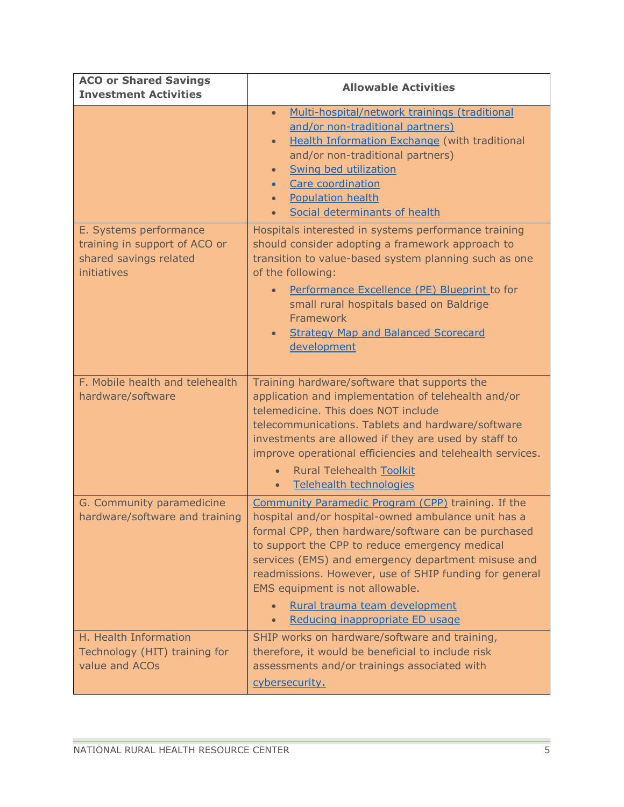| <b>ACO or Shared Savings</b><br><b>Investment Activities</b>                                     | <b>Allowable Activities</b>                                                                                                                                                                                                                                                                                                                                                                                                                            |
|--------------------------------------------------------------------------------------------------|--------------------------------------------------------------------------------------------------------------------------------------------------------------------------------------------------------------------------------------------------------------------------------------------------------------------------------------------------------------------------------------------------------------------------------------------------------|
|                                                                                                  | Multi-hospital/network trainings (traditional<br>$\bullet$<br>and/or non-traditional partners)<br><b>Health Information Exchange (with traditional</b><br>$\bullet$<br>and/or non-traditional partners)<br><b>Swing bed utilization</b><br>$\bullet$<br>Care coordination<br>$\bullet$<br><b>Population health</b><br>Social determinants of health                                                                                                    |
| E. Systems performance<br>training in support of ACO or<br>shared savings related<br>initiatives | Hospitals interested in systems performance training<br>should consider adopting a framework approach to<br>transition to value-based system planning such as one<br>of the following:<br>Performance Excellence (PE) Blueprint to for<br>small rural hospitals based on Baldrige<br>Framework<br><b>Strategy Map and Balanced Scorecard</b><br>$\bullet$<br>development                                                                               |
| F. Mobile health and telehealth<br>hardware/software                                             | Training hardware/software that supports the<br>application and implementation of telehealth and/or<br>telemedicine. This does NOT include<br>telecommunications. Tablets and hardware/software<br>investments are allowed if they are used by staff to<br>improve operational efficiencies and telehealth services.<br><b>Rural Telehealth Toolkit</b><br><b>Telehealth technologies</b><br>$\bullet$                                                 |
| G. Community paramedicine<br>hardware/software and training                                      | Community Paramedic Program (CPP) training. If the<br>hospital and/or hospital-owned ambulance unit has a<br>formal CPP, then hardware/software can be purchased<br>to support the CPP to reduce emergency medical<br>services (EMS) and emergency department misuse and<br>readmissions. However, use of SHIP funding for general<br>EMS equipment is not allowable.<br>Rural trauma team development<br>Reducing inappropriate ED usage<br>$\bullet$ |
| H. Health Information<br>Technology (HIT) training for<br>value and ACOs                         | SHIP works on hardware/software and training,<br>therefore, it would be beneficial to include risk<br>assessments and/or trainings associated with<br>cybersecurity.                                                                                                                                                                                                                                                                                   |